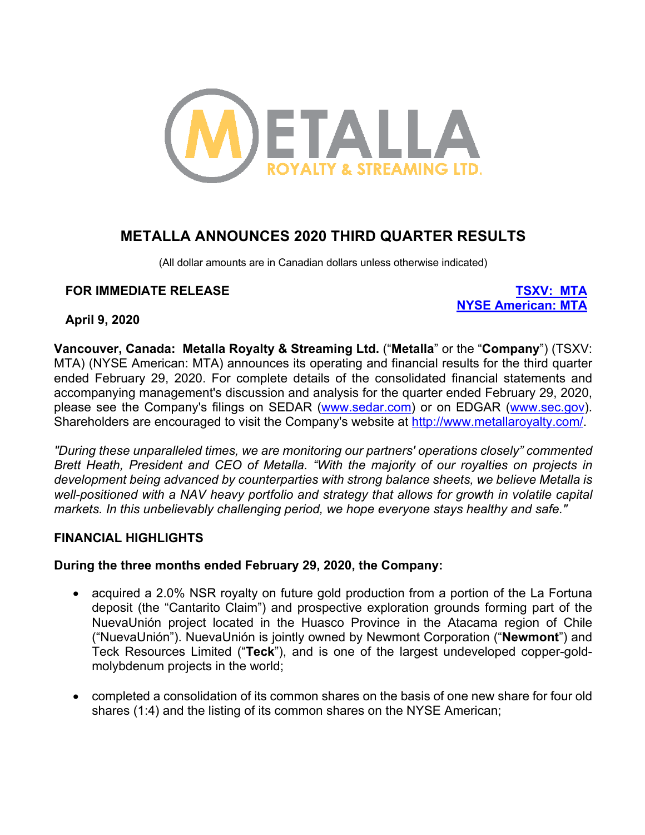

# **METALLA ANNOUNCES 2020 THIRD QUARTER RESULTS**

(All dollar amounts are in Canadian dollars unless otherwise indicated)

#### **FOR IMMEDIATE RELEASE TSXV: MTA**

**NYSE American: MTA**

**April 9, 2020**

**Vancouver, Canada: Metalla Royalty & Streaming Ltd.** ("**Metalla**" or the "**Company**") (TSXV: MTA) (NYSE American: MTA) announces its operating and financial results for the third quarter ended February 29, 2020. For complete details of the consolidated financial statements and accompanying management's discussion and analysis for the quarter ended February 29, 2020, please see the Company's filings on SEDAR (www.sedar.com) or on EDGAR (www.sec.gov). Shareholders are encouraged to visit the Company's website at http://www.metallaroyalty.com/.

*"During these unparalleled times, we are monitoring our partners' operations closely" commented Brett Heath, President and CEO of Metalla. "With the majority of our royalties on projects in development being advanced by counterparties with strong balance sheets, we believe Metalla is*  well-positioned with a NAV heavy portfolio and strategy that allows for growth in volatile capital *markets. In this unbelievably challenging period, we hope everyone stays healthy and safe."*

#### **FINANCIAL HIGHLIGHTS**

#### **During the three months ended February 29, 2020, the Company:**

- acquired a 2.0% NSR royalty on future gold production from a portion of the La Fortuna deposit (the "Cantarito Claim") and prospective exploration grounds forming part of the NuevaUnión project located in the Huasco Province in the Atacama region of Chile ("NuevaUnión"). NuevaUnión is jointly owned by Newmont Corporation ("**Newmont**") and Teck Resources Limited ("**Teck**"), and is one of the largest undeveloped copper-goldmolybdenum projects in the world;
- completed a consolidation of its common shares on the basis of one new share for four old shares (1:4) and the listing of its common shares on the NYSE American;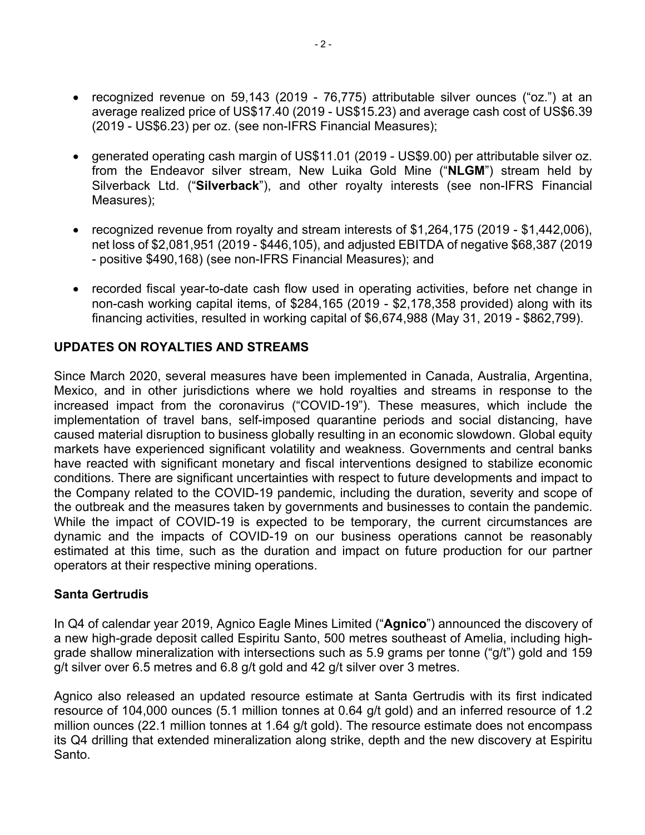- recognized revenue on 59,143 (2019 76,775) attributable silver ounces ("oz.") at an average realized price of US\$17.40 (2019 - US\$15.23) and average cash cost of US\$6.39 (2019 - US\$6.23) per oz. (see non-IFRS Financial Measures);
- generated operating cash margin of US\$11.01 (2019 US\$9.00) per attributable silver oz. from the Endeavor silver stream, New Luika Gold Mine ("**NLGM**") stream held by Silverback Ltd. ("**Silverback**"), and other royalty interests (see non-IFRS Financial Measures);
- recognized revenue from royalty and stream interests of \$1,264,175 (2019 \$1,442,006), net loss of \$2,081,951 (2019 - \$446,105), and adjusted EBITDA of negative \$68,387 (2019 - positive \$490,168) (see non-IFRS Financial Measures); and
- recorded fiscal year-to-date cash flow used in operating activities, before net change in non-cash working capital items, of \$284,165 (2019 - \$2,178,358 provided) along with its financing activities, resulted in working capital of \$6,674,988 (May 31, 2019 - \$862,799).

## **UPDATES ON ROYALTIES AND STREAMS**

Since March 2020, several measures have been implemented in Canada, Australia, Argentina, Mexico, and in other jurisdictions where we hold royalties and streams in response to the increased impact from the coronavirus ("COVID-19"). These measures, which include the implementation of travel bans, self-imposed quarantine periods and social distancing, have caused material disruption to business globally resulting in an economic slowdown. Global equity markets have experienced significant volatility and weakness. Governments and central banks have reacted with significant monetary and fiscal interventions designed to stabilize economic conditions. There are significant uncertainties with respect to future developments and impact to the Company related to the COVID-19 pandemic, including the duration, severity and scope of the outbreak and the measures taken by governments and businesses to contain the pandemic. While the impact of COVID-19 is expected to be temporary, the current circumstances are dynamic and the impacts of COVID-19 on our business operations cannot be reasonably estimated at this time, such as the duration and impact on future production for our partner operators at their respective mining operations.

#### **Santa Gertrudis**

In Q4 of calendar year 2019, Agnico Eagle Mines Limited ("**Agnico**") announced the discovery of a new high-grade deposit called Espiritu Santo, 500 metres southeast of Amelia, including highgrade shallow mineralization with intersections such as 5.9 grams per tonne ("g/t") gold and 159 g/t silver over 6.5 metres and 6.8 g/t gold and 42 g/t silver over 3 metres.

Agnico also released an updated resource estimate at Santa Gertrudis with its first indicated resource of 104,000 ounces (5.1 million tonnes at 0.64 g/t gold) and an inferred resource of 1.2 million ounces (22.1 million tonnes at 1.64 g/t gold). The resource estimate does not encompass its Q4 drilling that extended mineralization along strike, depth and the new discovery at Espiritu Santo.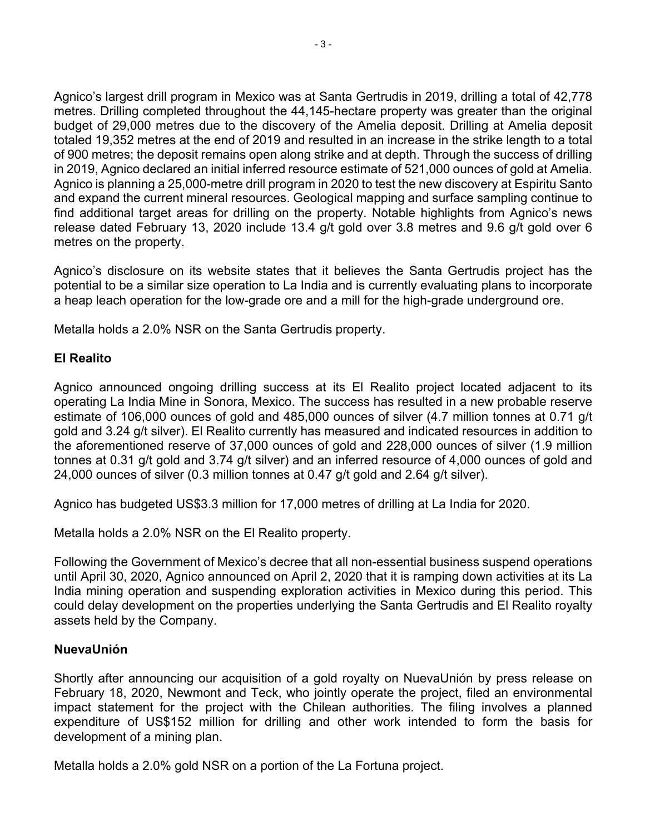Agnico's largest drill program in Mexico was at Santa Gertrudis in 2019, drilling a total of 42,778 metres. Drilling completed throughout the 44,145-hectare property was greater than the original budget of 29,000 metres due to the discovery of the Amelia deposit. Drilling at Amelia deposit totaled 19,352 metres at the end of 2019 and resulted in an increase in the strike length to a total of 900 metres; the deposit remains open along strike and at depth. Through the success of drilling in 2019, Agnico declared an initial inferred resource estimate of 521,000 ounces of gold at Amelia. Agnico is planning a 25,000-metre drill program in 2020 to test the new discovery at Espiritu Santo and expand the current mineral resources. Geological mapping and surface sampling continue to find additional target areas for drilling on the property. Notable highlights from Agnico's news release dated February 13, 2020 include 13.4 g/t gold over 3.8 metres and 9.6 g/t gold over 6 metres on the property.

Agnico's disclosure on its website states that it believes the Santa Gertrudis project has the potential to be a similar size operation to La India and is currently evaluating plans to incorporate a heap leach operation for the low-grade ore and a mill for the high-grade underground ore.

Metalla holds a 2.0% NSR on the Santa Gertrudis property.

## **El Realito**

Agnico announced ongoing drilling success at its El Realito project located adjacent to its operating La India Mine in Sonora, Mexico. The success has resulted in a new probable reserve estimate of 106,000 ounces of gold and 485,000 ounces of silver (4.7 million tonnes at 0.71 g/t gold and 3.24 g/t silver). El Realito currently has measured and indicated resources in addition to the aforementioned reserve of 37,000 ounces of gold and 228,000 ounces of silver (1.9 million tonnes at 0.31 g/t gold and 3.74 g/t silver) and an inferred resource of 4,000 ounces of gold and 24,000 ounces of silver (0.3 million tonnes at 0.47 g/t gold and 2.64 g/t silver).

Agnico has budgeted US\$3.3 million for 17,000 metres of drilling at La India for 2020.

Metalla holds a 2.0% NSR on the El Realito property.

Following the Government of Mexico's decree that all non-essential business suspend operations until April 30, 2020, Agnico announced on April 2, 2020 that it is ramping down activities at its La India mining operation and suspending exploration activities in Mexico during this period. This could delay development on the properties underlying the Santa Gertrudis and El Realito royalty assets held by the Company.

#### **NuevaUnión**

Shortly after announcing our acquisition of a gold royalty on NuevaUnión by press release on February 18, 2020, Newmont and Teck, who jointly operate the project, filed an environmental impact statement for the project with the Chilean authorities. The filing involves a planned expenditure of US\$152 million for drilling and other work intended to form the basis for development of a mining plan.

Metalla holds a 2.0% gold NSR on a portion of the La Fortuna project.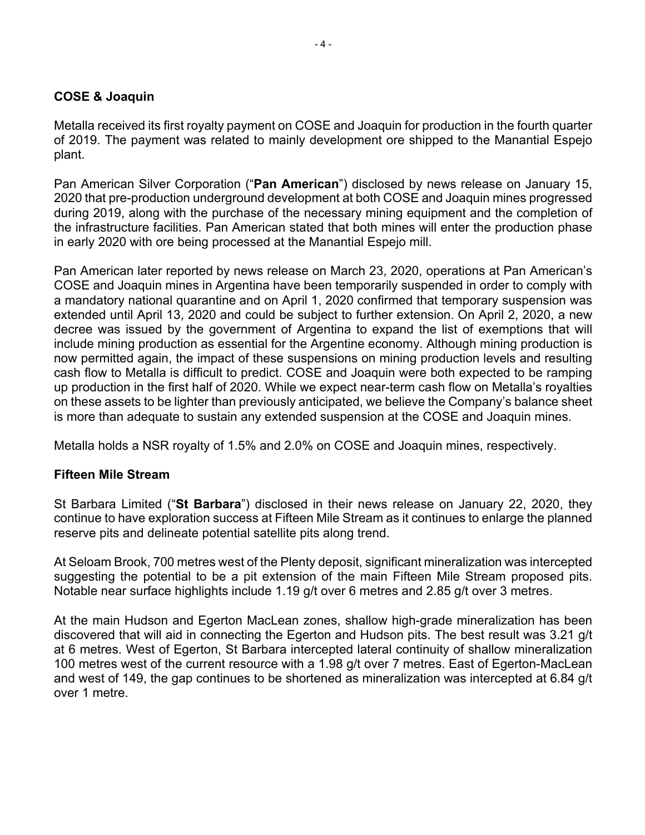## **COSE & Joaquin**

Metalla received its first royalty payment on COSE and Joaquin for production in the fourth quarter of 2019. The payment was related to mainly development ore shipped to the Manantial Espejo plant.

Pan American Silver Corporation ("**Pan American**") disclosed by news release on January 15, 2020 that pre-production underground development at both COSE and Joaquin mines progressed during 2019, along with the purchase of the necessary mining equipment and the completion of the infrastructure facilities. Pan American stated that both mines will enter the production phase in early 2020 with ore being processed at the Manantial Espejo mill.

Pan American later reported by news release on March 23, 2020, operations at Pan American's COSE and Joaquin mines in Argentina have been temporarily suspended in order to comply with a mandatory national quarantine and on April 1, 2020 confirmed that temporary suspension was extended until April 13, 2020 and could be subject to further extension. On April 2, 2020, a new decree was issued by the government of Argentina to expand the list of exemptions that will include mining production as essential for the Argentine economy. Although mining production is now permitted again, the impact of these suspensions on mining production levels and resulting cash flow to Metalla is difficult to predict. COSE and Joaquin were both expected to be ramping up production in the first half of 2020. While we expect near-term cash flow on Metalla's royalties on these assets to be lighter than previously anticipated, we believe the Company's balance sheet is more than adequate to sustain any extended suspension at the COSE and Joaquin mines.

Metalla holds a NSR royalty of 1.5% and 2.0% on COSE and Joaquin mines, respectively.

#### **Fifteen Mile Stream**

St Barbara Limited ("**St Barbara**") disclosed in their news release on January 22, 2020, they continue to have exploration success at Fifteen Mile Stream as it continues to enlarge the planned reserve pits and delineate potential satellite pits along trend.

At Seloam Brook, 700 metres west of the Plenty deposit, significant mineralization was intercepted suggesting the potential to be a pit extension of the main Fifteen Mile Stream proposed pits. Notable near surface highlights include 1.19 g/t over 6 metres and 2.85 g/t over 3 metres.

At the main Hudson and Egerton MacLean zones, shallow high-grade mineralization has been discovered that will aid in connecting the Egerton and Hudson pits. The best result was 3.21 g/t at 6 metres. West of Egerton, St Barbara intercepted lateral continuity of shallow mineralization 100 metres west of the current resource with a 1.98 g/t over 7 metres. East of Egerton-MacLean and west of 149, the gap continues to be shortened as mineralization was intercepted at 6.84 g/t over 1 metre.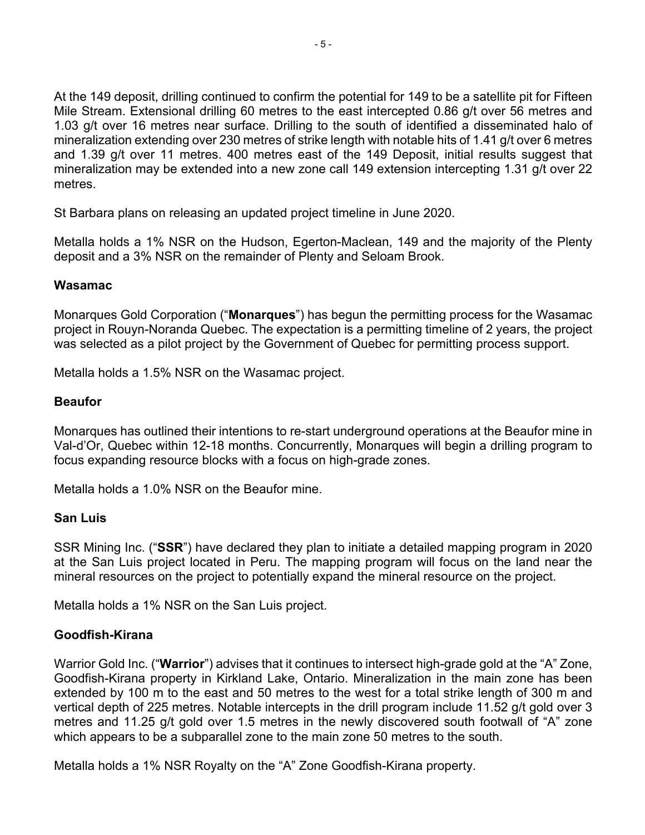At the 149 deposit, drilling continued to confirm the potential for 149 to be a satellite pit for Fifteen Mile Stream. Extensional drilling 60 metres to the east intercepted 0.86 g/t over 56 metres and 1.03 g/t over 16 metres near surface. Drilling to the south of identified a disseminated halo of mineralization extending over 230 metres of strike length with notable hits of 1.41 g/t over 6 metres and 1.39 g/t over 11 metres. 400 metres east of the 149 Deposit, initial results suggest that mineralization may be extended into a new zone call 149 extension intercepting 1.31 g/t over 22 metres.

St Barbara plans on releasing an updated project timeline in June 2020.

Metalla holds a 1% NSR on the Hudson, Egerton-Maclean, 149 and the majority of the Plenty deposit and a 3% NSR on the remainder of Plenty and Seloam Brook.

#### **Wasamac**

Monarques Gold Corporation ("**Monarques**") has begun the permitting process for the Wasamac project in Rouyn-Noranda Quebec. The expectation is a permitting timeline of 2 years, the project was selected as a pilot project by the Government of Quebec for permitting process support.

Metalla holds a 1.5% NSR on the Wasamac project.

#### **Beaufor**

Monarques has outlined their intentions to re-start underground operations at the Beaufor mine in Val-d'Or, Quebec within 12-18 months. Concurrently, Monarques will begin a drilling program to focus expanding resource blocks with a focus on high-grade zones.

Metalla holds a 1.0% NSR on the Beaufor mine.

#### **San Luis**

SSR Mining Inc. ("**SSR**") have declared they plan to initiate a detailed mapping program in 2020 at the San Luis project located in Peru. The mapping program will focus on the land near the mineral resources on the project to potentially expand the mineral resource on the project.

Metalla holds a 1% NSR on the San Luis project.

#### **Goodfish-Kirana**

Warrior Gold Inc. ("**Warrior**") advises that it continues to intersect high-grade gold at the "A" Zone, Goodfish-Kirana property in Kirkland Lake, Ontario. Mineralization in the main zone has been extended by 100 m to the east and 50 metres to the west for a total strike length of 300 m and vertical depth of 225 metres. Notable intercepts in the drill program include 11.52 g/t gold over 3 metres and 11.25 g/t gold over 1.5 metres in the newly discovered south footwall of "A" zone which appears to be a subparallel zone to the main zone 50 metres to the south.

Metalla holds a 1% NSR Royalty on the "A" Zone Goodfish-Kirana property.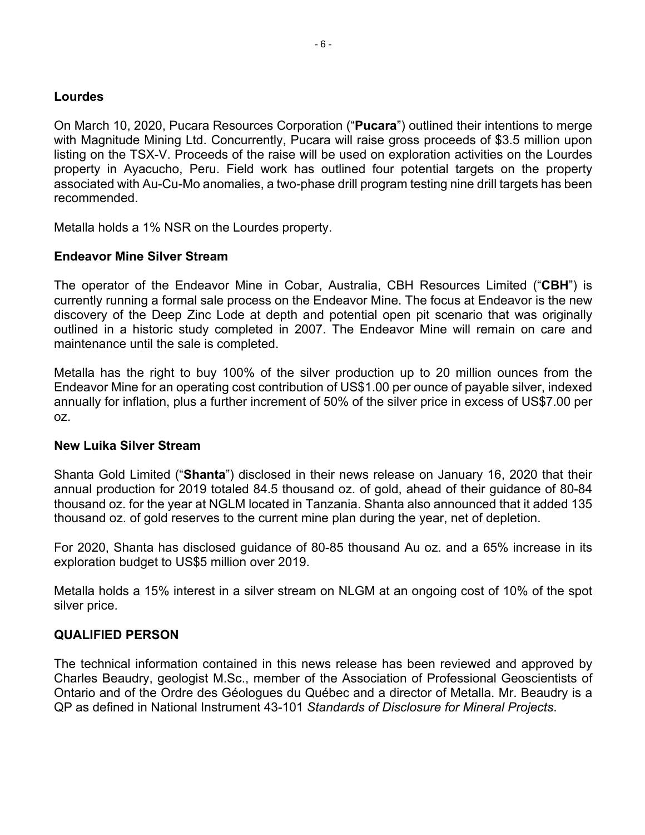#### **Lourdes**

On March 10, 2020, Pucara Resources Corporation ("**Pucara**") outlined their intentions to merge with Magnitude Mining Ltd. Concurrently, Pucara will raise gross proceeds of \$3.5 million upon listing on the TSX-V. Proceeds of the raise will be used on exploration activities on the Lourdes property in Ayacucho, Peru. Field work has outlined four potential targets on the property associated with Au-Cu-Mo anomalies, a two-phase drill program testing nine drill targets has been recommended.

Metalla holds a 1% NSR on the Lourdes property.

#### **Endeavor Mine Silver Stream**

The operator of the Endeavor Mine in Cobar, Australia, CBH Resources Limited ("**CBH**") is currently running a formal sale process on the Endeavor Mine. The focus at Endeavor is the new discovery of the Deep Zinc Lode at depth and potential open pit scenario that was originally outlined in a historic study completed in 2007. The Endeavor Mine will remain on care and maintenance until the sale is completed.

Metalla has the right to buy 100% of the silver production up to 20 million ounces from the Endeavor Mine for an operating cost contribution of US\$1.00 per ounce of payable silver, indexed annually for inflation, plus a further increment of 50% of the silver price in excess of US\$7.00 per oz.

#### **New Luika Silver Stream**

Shanta Gold Limited ("**Shanta**") disclosed in their news release on January 16, 2020 that their annual production for 2019 totaled 84.5 thousand oz. of gold, ahead of their guidance of 80-84 thousand oz. for the year at NGLM located in Tanzania. Shanta also announced that it added 135 thousand oz. of gold reserves to the current mine plan during the year, net of depletion.

For 2020, Shanta has disclosed guidance of 80-85 thousand Au oz. and a 65% increase in its exploration budget to US\$5 million over 2019.

Metalla holds a 15% interest in a silver stream on NLGM at an ongoing cost of 10% of the spot silver price.

#### **QUALIFIED PERSON**

The technical information contained in this news release has been reviewed and approved by Charles Beaudry, geologist M.Sc., member of the Association of Professional Geoscientists of Ontario and of the Ordre des Géologues du Québec and a director of Metalla. Mr. Beaudry is a QP as defined in National Instrument 43-101 *Standards of Disclosure for Mineral Projects*.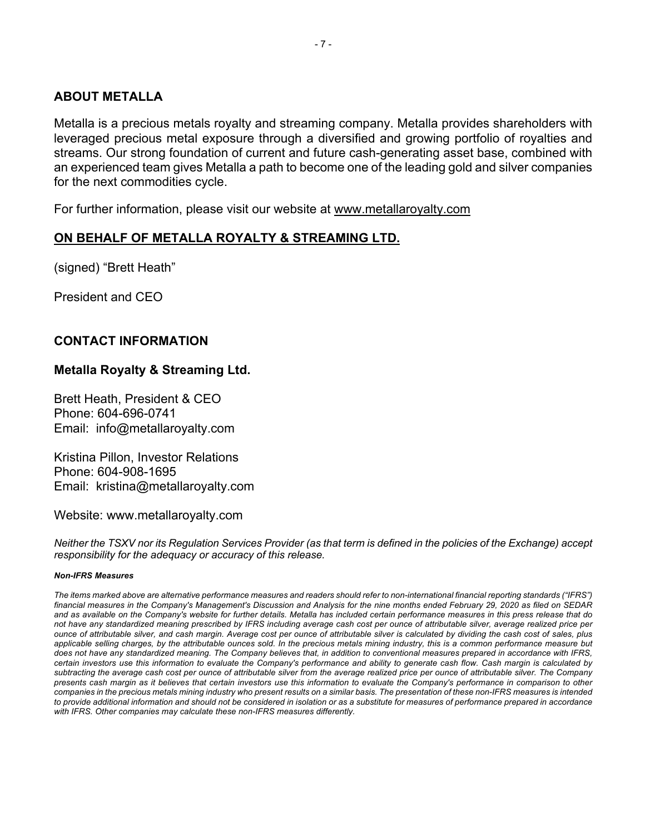#### **ABOUT METALLA**

Metalla is a precious metals royalty and streaming company. Metalla provides shareholders with leveraged precious metal exposure through a diversified and growing portfolio of royalties and streams. Our strong foundation of current and future cash-generating asset base, combined with an experienced team gives Metalla a path to become one of the leading gold and silver companies for the next commodities cycle.

For further information, please visit our website at www.metallaroyalty.com

## **ON BEHALF OF METALLA ROYALTY & STREAMING LTD.**

(signed) "Brett Heath"

President and CEO

#### **CONTACT INFORMATION**

#### **Metalla Royalty & Streaming Ltd.**

Brett Heath, President & CEO Phone: 604-696-0741 Email: info@metallaroyalty.com

Kristina Pillon, Investor Relations Phone: 604-908-1695 Email: kristina@metallaroyalty.com

Website: www.metallaroyalty.com

*Neither the TSXV nor its Regulation Services Provider (as that term is defined in the policies of the Exchange) accept responsibility for the adequacy or accuracy of this release.*

#### *Non-IFRS Measures*

*The items marked above are alternative performance measures and readers should refer to non-international financial reporting standards ("IFRS") financial measures in the Company's Management's Discussion and Analysis for the nine months ended February 29, 2020 as filed on SEDAR and as available on the Company's website for further details. Metalla has included certain performance measures in this press release that do not have any standardized meaning prescribed by IFRS including average cash cost per ounce of attributable silver, average realized price per ounce of attributable silver, and cash margin. Average cost per ounce of attributable silver is calculated by dividing the cash cost of sales, plus applicable selling charges, by the attributable ounces sold. In the precious metals mining industry, this is a common performance measure but does not have any standardized meaning. The Company believes that, in addition to conventional measures prepared in accordance with IFRS, certain investors use this information to evaluate the Company's performance and ability to generate cash flow. Cash margin is calculated by subtracting the average cash cost per ounce of attributable silver from the average realized price per ounce of attributable silver. The Company presents cash margin as it believes that certain investors use this information to evaluate the Company's performance in comparison to other companies in the precious metals mining industry who present results on a similar basis. The presentation of these non-IFRS measures is intended*  to provide additional information and should not be considered in isolation or as a substitute for measures of performance prepared in accordance *with IFRS. Other companies may calculate these non-IFRS measures differently.*